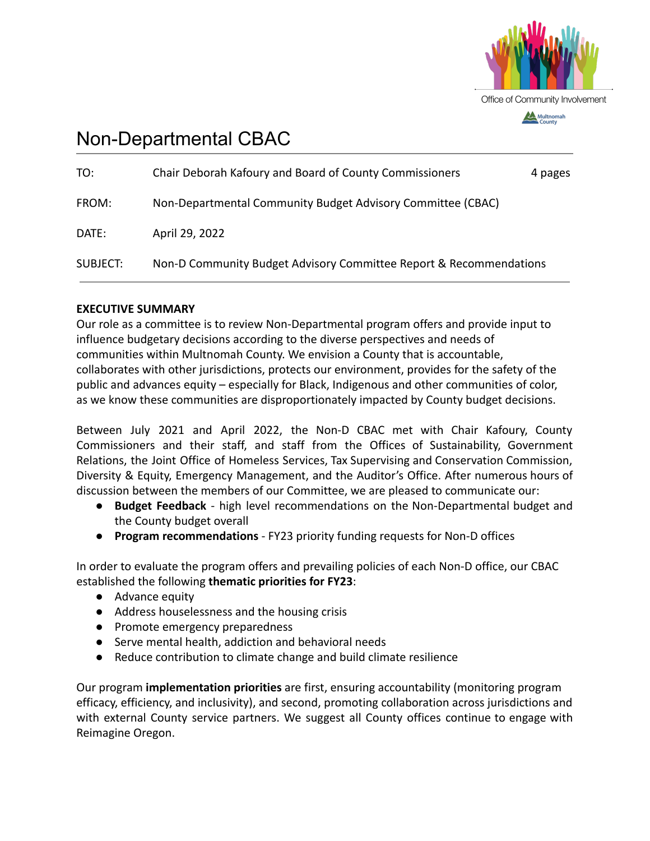

# Non-Departmental CBAC

| TO:             | Chair Deborah Kafoury and Board of County Commissioners            | 4 pages |
|-----------------|--------------------------------------------------------------------|---------|
| FROM:           | Non-Departmental Community Budget Advisory Committee (CBAC)        |         |
| DATE:           | April 29, 2022                                                     |         |
| <b>SUBJECT:</b> | Non-D Community Budget Advisory Committee Report & Recommendations |         |

## **EXECUTIVE SUMMARY**

Our role as a committee is to review Non-Departmental program offers and provide input to influence budgetary decisions according to the diverse perspectives and needs of communities within Multnomah County. We envision a County that is accountable, collaborates with other jurisdictions, protects our environment, provides for the safety of the public and advances equity – especially for Black, Indigenous and other communities of color, as we know these communities are disproportionately impacted by County budget decisions.

Between July 2021 and April 2022, the Non-D CBAC met with Chair Kafoury, County Commissioners and their staff, and staff from the Offices of Sustainability, Government Relations, the Joint Office of Homeless Services, Tax Supervising and Conservation Commission, Diversity & Equity, Emergency Management, and the Auditor's Office. After numerous hours of discussion between the members of our Committee, we are pleased to communicate our:

- **Budget Feedback** high level recommendations on the Non-Departmental budget and the County budget overall
- **Program recommendations** FY23 priority funding requests for Non-D offices

In order to evaluate the program offers and prevailing policies of each Non-D office, our CBAC established the following **thematic priorities for FY23**:

- Advance equity
- Address houselessness and the housing crisis
- Promote emergency preparedness
- Serve mental health, addiction and behavioral needs
- Reduce contribution to climate change and build climate resilience

Our program **implementation priorities** are first, ensuring accountability (monitoring program efficacy, efficiency, and inclusivity), and second, promoting collaboration across jurisdictions and with external County service partners. We suggest all County offices continue to engage with Reimagine Oregon.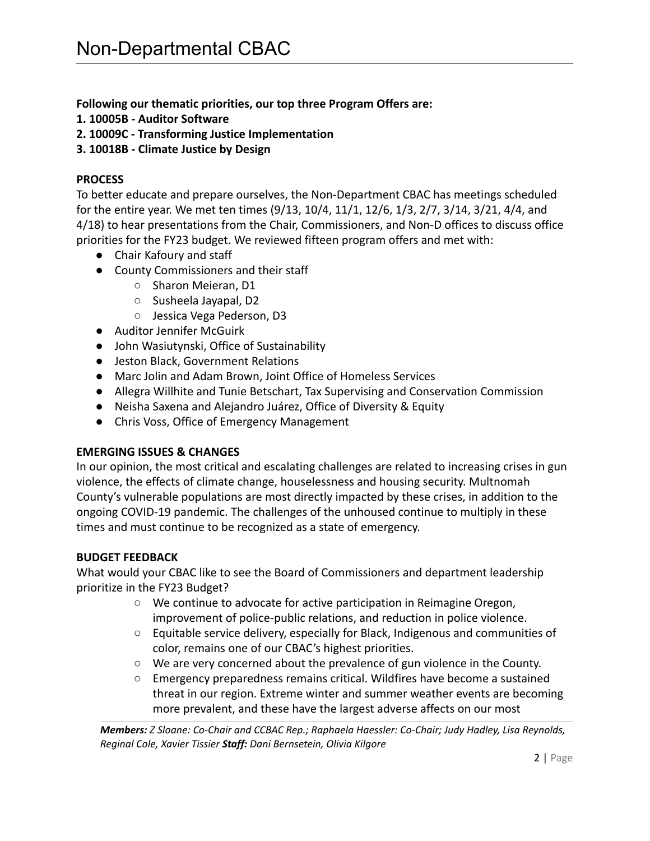**Following our thematic priorities, our top three Program Offers are:**

- **1. 10005B Auditor Software**
- **2. 10009C Transforming Justice Implementation**
- **3. 10018B Climate Justice by Design**

## **PROCESS**

To better educate and prepare ourselves, the Non-Department CBAC has meetings scheduled for the entire year. We met ten times (9/13, 10/4, 11/1, 12/6, 1/3, 2/7, 3/14, 3/21, 4/4, and 4/18) to hear presentations from the Chair, Commissioners, and Non-D offices to discuss office priorities for the FY23 budget. We reviewed fifteen program offers and met with:

- Chair Kafoury and staff
- County Commissioners and their staff
	- Sharon Meieran, D1
	- Susheela Jayapal, D2
	- Jessica Vega Pederson, D3
- *●* Auditor Jennifer McGuirk
- *●* John Wasiutynski, Office of Sustainability
- *●* Jeston Black, Government Relations
- *●* Marc Jolin and Adam Brown, Joint Office of Homeless Services
- Allegra Willhite and Tunie Betschart, Tax Supervising and Conservation Commission
- *●* Neisha Saxena and Alejandro Juárez, Office of Diversity & Equity
- *●* Chris Voss, Office of Emergency Management

## **EMERGING ISSUES & CHANGES**

In our opinion, the most critical and escalating challenges are related to increasing crises in gun violence, the effects of climate change, houselessness and housing security. Multnomah County's vulnerable populations are most directly impacted by these crises, in addition to the ongoing COVID-19 pandemic. The challenges of the unhoused continue to multiply in these times and must continue to be recognized as a state of emergency.

## **BUDGET FEEDBACK**

What would your CBAC like to see the Board of Commissioners and department leadership prioritize in the FY23 Budget?

- We continue to advocate for active participation in Reimagine Oregon, improvement of police-public relations, and reduction in police violence.
- Equitable service delivery, especially for Black, Indigenous and communities of color, remains one of our CBAC's highest priorities.
- We are very concerned about the prevalence of gun violence in the County.
- Emergency preparedness remains critical. Wildfires have become a sustained threat in our region. Extreme winter and summer weather events are becoming more prevalent, and these have the largest adverse affects on our most

*Members: Z Sloane: Co-Chair and CCBAC Rep.; Raphaela Haessler: Co-Chair; Judy Hadley, Lisa Reynolds, Reginal Cole, Xavier Tissier Staff: Dani Bernsetein, Olivia Kilgore*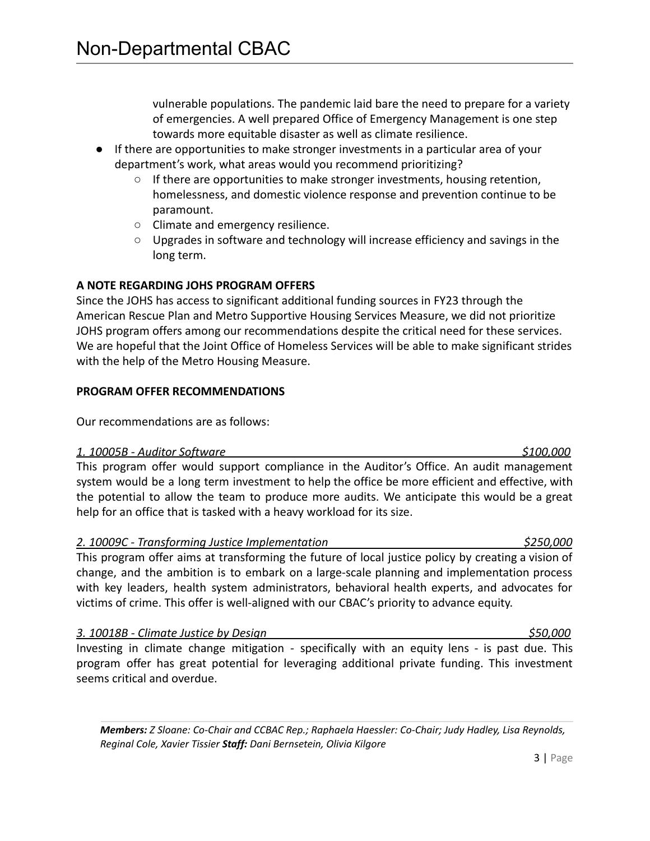vulnerable populations. The pandemic laid bare the need to prepare for a variety of emergencies. A well prepared Office of Emergency Management is one step towards more equitable disaster as well as climate resilience.

- If there are opportunities to make stronger investments in a particular area of your department's work, what areas would you recommend prioritizing?
	- $\circ$  If there are opportunities to make stronger investments, housing retention, homelessness, and domestic violence response and prevention continue to be paramount.
	- Climate and emergency resilience.
	- Upgrades in software and technology will increase efficiency and savings in the long term.

## **A NOTE REGARDING JOHS PROGRAM OFFERS**

Since the JOHS has access to significant additional funding sources in FY23 through the American Rescue Plan and Metro Supportive Housing Services Measure, we did not prioritize JOHS program offers among our recommendations despite the critical need for these services. We are hopeful that the Joint Office of Homeless Services will be able to make significant strides with the help of the Metro Housing Measure.

### **PROGRAM OFFER RECOMMENDATIONS**

Our recommendations are as follows:

#### *1. 10005B - Auditor Software \$100,000*

This program offer would support compliance in the Auditor's Office. An audit management system would be a long term investment to help the office be more efficient and effective, with the potential to allow the team to produce more audits. We anticipate this would be a great help for an office that is tasked with a heavy workload for its size.

## *2. 10009C - Transforming Justice Implementation \$250,000*

This program offer aims at transforming the future of local justice policy by creating a vision of change, and the ambition is to embark on a large-scale planning and implementation process with key leaders, health system administrators, behavioral health experts, and advocates for victims of crime. This offer is well-aligned with our CBAC's priority to advance equity.

## *3. 10018B - Climate Justice by Design \$50,000*

Investing in climate change mitigation - specifically with an equity lens - is past due. This program offer has great potential for leveraging additional private funding. This investment seems critical and overdue.

*Members: Z Sloane: Co-Chair and CCBAC Rep.; Raphaela Haessler: Co-Chair; Judy Hadley, Lisa Reynolds, Reginal Cole, Xavier Tissier Staff: Dani Bernsetein, Olivia Kilgore*